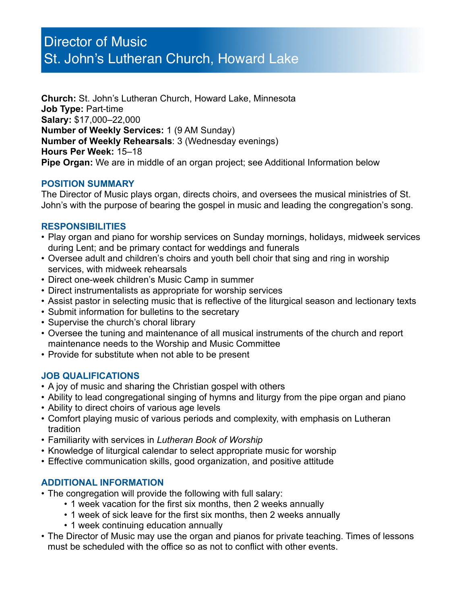# Director of Music St. John's Lutheran Church, Howard Lake

**Church:** St. John's Lutheran Church, Howard Lake, Minnesota **Job Type:** Part-time **Salary:** \$17,000–22,000 **Number of Weekly Services:** 1 (9 AM Sunday) **Number of Weekly Rehearsals**: 3 (Wednesday evenings) **Hours Per Week:** 15–18 **Pipe Organ:** We are in middle of an organ project; see Additional Information below

### **POSITION SUMMARY**

The Director of Music plays organ, directs choirs, and oversees the musical ministries of St. John's with the purpose of bearing the gospel in music and leading the congregation's song.

## **RESPONSIBILITIES**

- Play organ and piano for worship services on Sunday mornings, holidays, midweek services during Lent; and be primary contact for weddings and funerals
- Oversee adult and children's choirs and youth bell choir that sing and ring in worship services, with midweek rehearsals
- Direct one-week children's Music Camp in summer
- Direct instrumentalists as appropriate for worship services
- Assist pastor in selecting music that is reflective of the liturgical season and lectionary texts
- Submit information for bulletins to the secretary
- Supervise the church's choral library
- Oversee the tuning and maintenance of all musical instruments of the church and report maintenance needs to the Worship and Music Committee
- Provide for substitute when not able to be present

# **JOB QUALIFICATIONS**

- A joy of music and sharing the Christian gospel with others
- Ability to lead congregational singing of hymns and liturgy from the pipe organ and piano
- Ability to direct choirs of various age levels
- Comfort playing music of various periods and complexity, with emphasis on Lutheran tradition
- Familiarity with services in *Lutheran Book of Worship*
- Knowledge of liturgical calendar to select appropriate music for worship
- Effective communication skills, good organization, and positive attitude

# **ADDITIONAL INFORMATION**

- The congregation will provide the following with full salary:
	- 1 week vacation for the first six months, then 2 weeks annually
	- 1 week of sick leave for the first six months, then 2 weeks annually
	- 1 week continuing education annually
- The Director of Music may use the organ and pianos for private teaching. Times of lessons must be scheduled with the office so as not to conflict with other events.